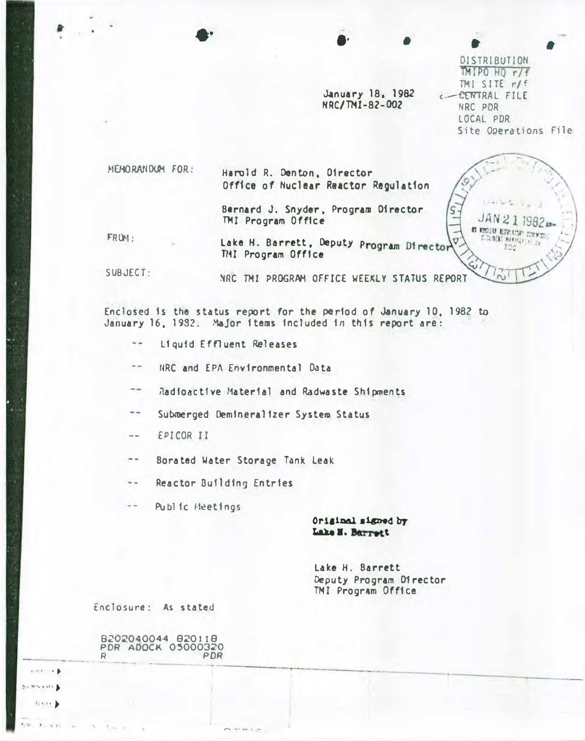January 18, 1982 NRC/TMI-82-002

DISTRIBUTION  $IMIPOHOr/f$  $TMI$  SITE  $r/f$ C-CENTRAL FILE NRC PDR LOCAL PDR Site Operations File

JAN21

IT FRONT REPORTS CONTR C.CLMCAT MAKING? AT 24

 $E22$ 

 $\beta$  /  $\beta$ 

MEMORANDUM FOR:

Harold R. Denton, Oirector Office of Nuclear Reactor Regulation

Bernard J. Snyder, Program Director TMI Program Office

FROM:

Lake H. Barrett, Deputy Program Director TMI Program Office

SUBJECT:

NRC TMI PROGRAM OFFICE WEEKLY STATUS REPORT

Enclosed is the status report for the period of January 10, 1982 to January 16, 1982. Major items included in this report are:

- $-1$ Liquid Effluent Releases
- HRC and EPA Environmental Data
- $\rightarrow$ Radioactive Material and Radwaste Shipments
- $\rightarrow$   $\rightarrow$ Submerged Demineralizer System Status
- EPICOR II  $\frac{1}{2}$
- Borated Water Storage Tank Leak

Reactor Building Entries  $+ -$ 

Public Heetings  $-1$ 

> Original signed by Lake M. Barrett

Lake H. Barrett Deputy Program Director TMI Program Office

Enclosure: As stated

8202040044 820118 PDR ADOCK 05000320 PDR  $\mathbf{c}$ 

director (b)  $S = M \leq n \leq n$  $11\times 2\times 1$ 

 $1 - 11$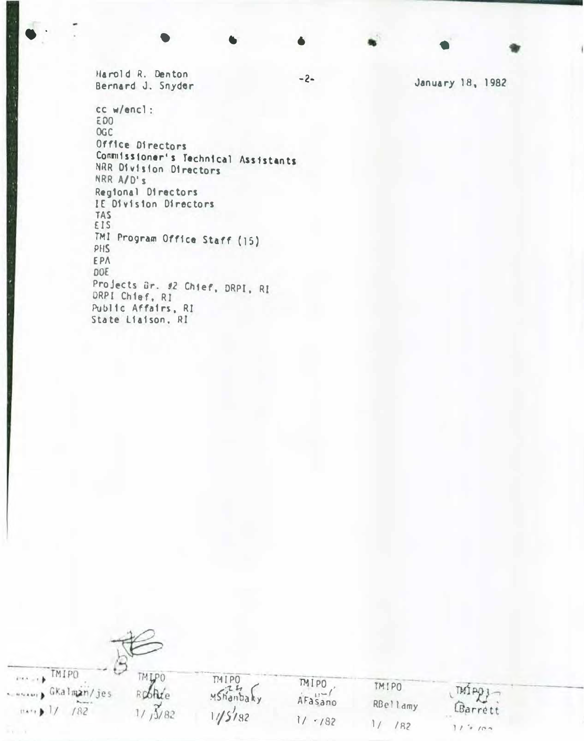Harold R. Denton Bernard J. Snyder

cc w/encl: E00 **OGC** Office Directors Commissioner's Technical Assistants NRR Division Directors NRR A/D's Regional Directors IE Division Directors **TAS** EIS TMI Program Office Staff (15) PHS EPA DOE Projects Br. #2 Chief, DRPI, RI DRPI Chief, RI Public Affairs, RI State Liaison, RI

January 18, 1982

**TMLPO** 

Roblite

 $1/1/\sqrt{3}/82$ 

Fire + TMIPO

 $\cdots$  |/  $1/$  182

Current GKalman/jes

MIPO<br>MShanbaky  $11/5182$ 

MIPO. AFasano  $1/782$ 

 $-2-$ 

**TMIPO** RBellamy  $1/182$ 

LBarrett  $112100$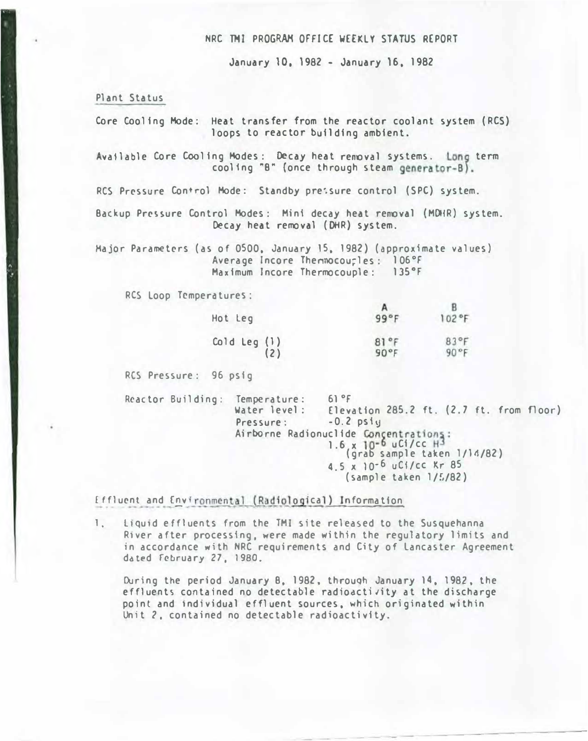### NRC THJ PROGRAM OFFICE WEEKLY STATUS REPORT

January 10, 1982 - January 16, 1982

Plant Status

Core Cooling Mode; Heat transfer from the reactor coolant system (RCS) loops to reactor building ambient.

Available Core Cooling Modes: Decay heat removal systems. Long term cooling "B" {once through steam generator-B).

RCS Pressure Control Mode: Standby pre: sure control (SPC) system.

Backup Pressure Control Modes: Mini decay heat removal (MDHR) system. Decay heat removal (DHR) system.

Major Parameters (as of 0500, January 15, 1982) (approximate values) Average Incore Thennocourles: 106°F Maximum Incore Thermocouple: 135°F

RCS Loop Temperatures:

| Hot Leg        | n<br>99°F | $102$ °F |
|----------------|-----------|----------|
| Cold Leg $(1)$ | 81°F      | 83°F     |
| (2)            | 90°F      | 90°F     |

RCS Pressure: 96 psig

Reactor Building: Temperature: 61°F<br>Water level: Eleva Elevation 285.2 ft.  $(2.7$  ft. from floor) Pressure: -0.2 psiw Airborne Radionuclide Concentrations: 1.6, x 10-6 uCi/cc  $H^3$ (grab sample taken 1/14/82) 4.5 x 10-6 uCi/cc Kr 85 (sample taken 1/�/82)

Effluent and Environmental (Radiological) Information.

l. L1qu1d effluents from the TMI site released to the Susquehanna R1ver after processing, were made within the regulatory limits and in accordance with NRC requirements and City of Lancaster Agreement dated February 27, 1980.

During the period January B. 1982, through January 14, 1982, the effluents contained no detectable radioactivity at the discharge point and 1ndividual effluent sources, which originated within Unit 2, contained no detectable radioactivity.

--- --------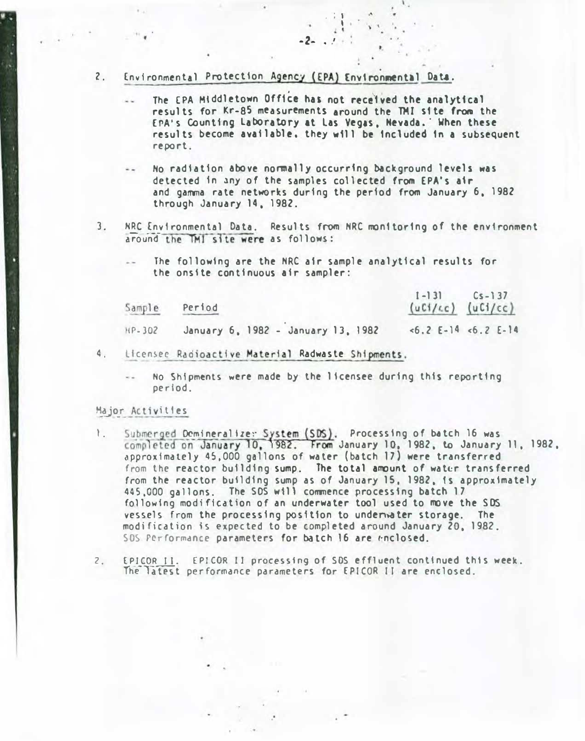#### 2. Environmental Protection Agency (EPA) Environmental Data.

The EPA Middletown Office has not received the analytical results for Kr-85 measurements around the TMI site from the EPA's Counting Laboratory at Las Vegas, Nevada. When these results become available, they �111 be 1ncluded 1n a subsequent report.

. ; I I I

 $\lambda$   $\lambda$ 

.

 $-2-$ 

- No radiation above normally occurring �ckground levels was detected in �ny of the samples col lected from EPA's a1r and gamma rate networks during the period from January 6, 1982 through January 14, 1982.
- 3. NRC Environmental Data. Results from NRC monitoring of the environment around the TMI site were as follows:
	- The following are the NRC a1r sample analytical results for the onstte continuous air sampler:

| Sample | Period                             | $[-13]$ $Cs - 137$<br>$(uCl/cc)$ $(uCl/cc)$ |                       |
|--------|------------------------------------|---------------------------------------------|-----------------------|
| HP-302 | January 6, 1982 - January 13, 1982 |                                             | $5.2$ E-14 $5.2$ E-14 |

4. ticensee Radioactive Material Radwaste Shipments.

No Shipments were made by the licensee during this reporting per i od.

#### Major Activities

'

- 1. Submerged Domineralizer System (SDS). Processing of batch 16 was completed on January 10, 1982. From January 10, 1982, to January 11, 1982, approximately 45,000 gallons of water (batch 17) were transferred from the reactor building sump. The total amount of water transferred from the reactor butlding sump as of January lS, 1982, 1s approximately 445,000 gallons. The SDS will commence processing batch 17 following modification of an underwater tool used to move the SDS vessels from the processing position to underwater storage. The modification is expected to be completed around January 20, 1982. SOS Performance parameters for batch 16 are enclosed.
- 2. EPICOR II. EPICOR II processing of SDS effluent continued this week. The latest performance parameters for EPICOR II are enclosed.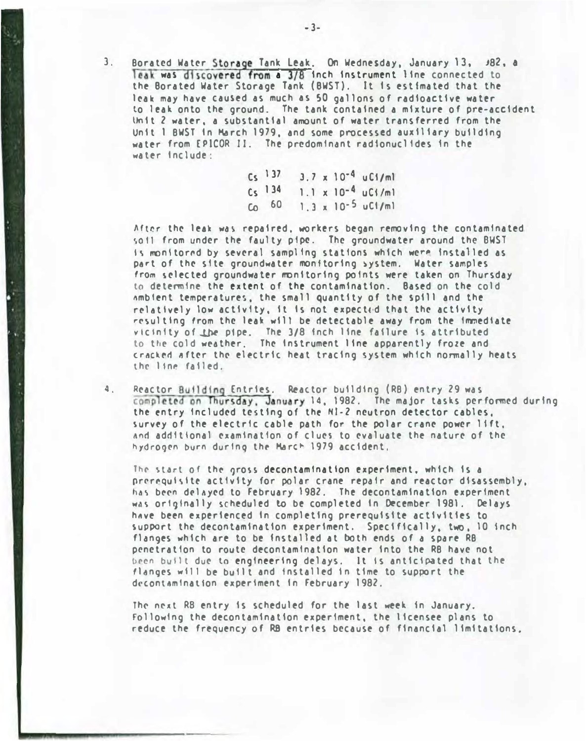3. Borated Water Storage Tank Leak. On Wednesday, January 13, J82, a Teak was discovered from a 3/8 inch instrument line connected to the Borated Water Storage Tank (BWST). It 1s estimated that the leak may have caused as much as SO gallons of radioactive water to leak onto the ground. The tank contained a mixture of pre-accident Unit 2 water, a substantial amount of water transferred from the Unit 1 BWST In March 1979, and some processed auxiliary building water from EPICOR II. The predominant radionuclides in the water Include:

> $Cs<sup>137</sup>$ cs 134 Co 60  $3.7 \times 10^{-4}$  uC1/ml  $1.1 \times 10^{-4}$  uCt/ml 1.3 x 1o·S uCI/ml

After the leak was repaired, workers began removing the contaminated so 11 from under the faulty pipe. The groundwater around the BWST Is monitored by several sampling stations which were installed as part of the site groundwater monitoring system. Water samples from selected groundwater monitoring points were taken on Thursday to determine the extent of the contamination. Based on the cold �mblent temperatures, the small quantity of the spill and the relatively low activity, it is not expected that the activity resulting from the leak will be detectable away from the immediate vicinity of the pipe. The 3/8 inch line failure is attributed to the cold weather. The Instrument line apparently froze and cracked after the electric heat tracing system which normally heats the line failed.

4. Reactor Building Entries. Reactor building (RB) entry 29 was completed on Thursday, January 14, 1982. The major tasks performed during the entry included testing of the Nl-2 neutron detector cables, survey of the electric cable path for the polar crane power lift. �nd additional examination of clues to evaluate the nature of the hydrogen burn during the March 1979 accident.

The start of the gross decontamination experiment, which is a prerequisite activity for polar crane repair and reactor disassembly. has been delayed to February 1982. The decontamination experiment was originally scheduled to be completed in December 1981. Delays have been experienced in completing prerequisite activities to support the decontamination experiment. Specifically, two, 10 inch flanges which are to be installed at both ends of a spare RB penetration to route decontamination water into the RB have not been built due to engineering delays. It is anticipated that the flanges will be built and installed in time to support the decontamination experiment in February 1982.

The next RB entry is scheduled for the last week in January. Following the decontamination experiment, the licensee plans to reduce the frequency of R8 entries because of financial limitations.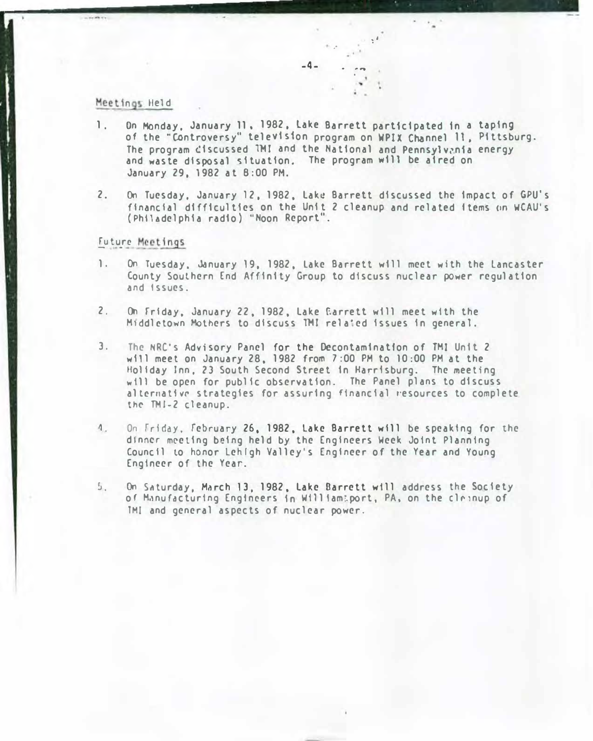## Meetings Held

1. On Monday, January 11, 1982, Lake Barrett participated in a taping of the "Controversy" television program on WPIX Channel 11. Pittsburg. The program discussed TMI and the National and Pennsylvania energy and waste disposal situation. The program will be aired on January 29, 1982 at 8:00PM.

 $-4-$ 

.·

 $. . . .$ .

:I

2. On Tuesday, January 12, 1982, Lake Barrett discussed the impact of GPU's financial difficulties on the Unit 2 cleanup and related items on WCAU's (Philadelphia radio) "Noon Report".

### Future Meetings.

- 1. On Tuesday, January 19, 1982, Lake Barrett will meet with the Lancaster County Southern End Affinity Group to discuss nuclear power regulation and Issues.
- 2. On friday, January 22, 1982, Lake f.arrett will meet with the Middletown Mothers to discuss TMI related issues in general.
- 3. The NRC's Advisory Panel for the Decontamination of TMI Unit 2 will meet on January 28, 1982 from 7:00 PM to 10:00 PM at the Holiday Inn, 23 South Second Street in Harr1sburg. The meeting will be open for public observation. The Panel plans to discuss alternative strategies for assuring financial resources to complete the TMJ-2 cleanup.
- 4. On Friday, February 26, 1982, Lake Barrett will be speaking for the dinner meeting being held by the Engineers Week Joint Planning Council to honor Lehigh Valley's Engineer of the Year and Young Engineer of the Year.
- �. On SAturday, Much 13, 1982, Lake Oarrett will address the Society of Manufacturing Engineers in William:port, PA, on the clrinup of THI and general aspects of nuclear power.